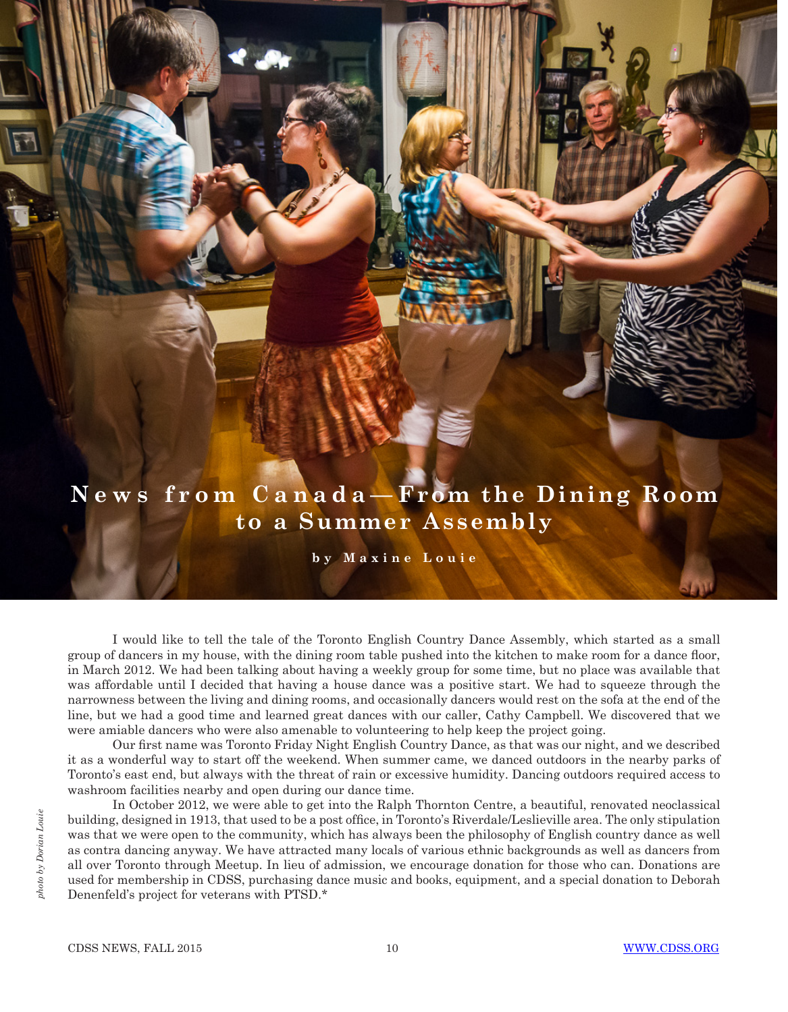## **N e w s f r o m C a n a d a — From the Dining Room to a Summer Assembly**

**by Maxine Louie**

I would like to tell the tale of the Toronto English Country Dance Assembly, which started as a small group of dancers in my house, with the dining room table pushed into the kitchen to make room for a dance floor, in March 2012. We had been talking about having a weekly group for some time, but no place was available that was affordable until I decided that having a house dance was a positive start. We had to squeeze through the narrowness between the living and dining rooms, and occasionally dancers would rest on the sofa at the end of the line, but we had a good time and learned great dances with our caller, Cathy Campbell. We discovered that we were amiable dancers who were also amenable to volunteering to help keep the project going.

Our first name was Toronto Friday Night English Country Dance, as that was our night, and we described it as a wonderful way to start off the weekend. When summer came, we danced outdoors in the nearby parks of Toronto's east end, but always with the threat of rain or excessive humidity. Dancing outdoors required access to washroom facilities nearby and open during our dance time.

In October 2012, we were able to get into the Ralph Thornton Centre, a beautiful, renovated neoclassical building, designed in 1913, that used to be a post office, in Toronto's Riverdale/Leslieville area. The only stipulation was that we were open to the community, which has always been the philosophy of English country dance as well as contra dancing anyway. We have attracted many locals of various ethnic backgrounds as well as dancers from all over Toronto through Meetup. In lieu of admission, we encourage donation for those who can. Donations are used for membership in CDSS, purchasing dance music and books, equipment, and a special donation to Deborah Denenfeld's project for veterans with PTSD.\*